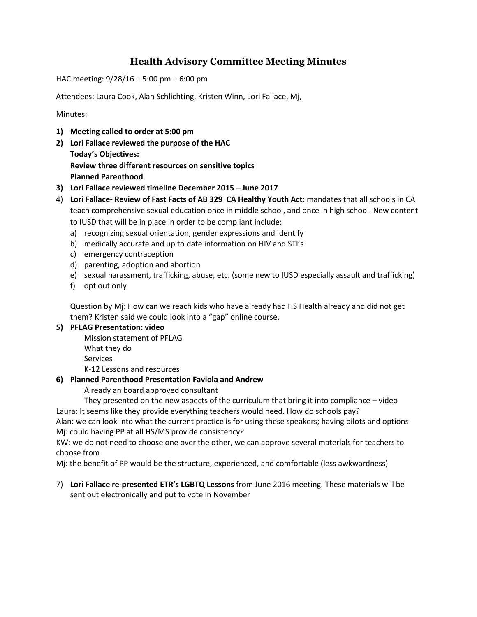# **Health Advisory Committee Meeting Minutes**

HAC meeting: 9/28/16 – 5:00 pm – 6:00 pm

Attendees: Laura Cook, Alan Schlichting, Kristen Winn, Lori Fallace, Mj,

### Minutes:

- **1) Meeting called to order at 5:00 pm**
- **2) Lori Fallace reviewed the purpose of the HAC Today's Objectives: Review three different resources on sensitive topics Planned Parenthood**
- **3) Lori Fallace reviewed timeline December 2015 – June 2017**
- 4) **Lori Fallace- Review of Fast Facts of AB 329 CA Healthy Youth Act**: mandates that all schools in CA teach comprehensive sexual education once in middle school, and once in high school. New content to IUSD that will be in place in order to be compliant include:
	- a) recognizing sexual orientation, gender expressions and identify
	- b) medically accurate and up to date information on HIV and STI's
	- c) emergency contraception
	- d) parenting, adoption and abortion
	- e) sexual harassment, trafficking, abuse, etc. (some new to IUSD especially assault and trafficking)
	- f) opt out only

Question by Mj: How can we reach kids who have already had HS Health already and did not get them? Kristen said we could look into a "gap" online course.

## **5) PFLAG Presentation: video**

Mission statement of PFLAG What they do

**Services** 

K-12 Lessons and resources

#### **6) Planned Parenthood Presentation Faviola and Andrew**

Already an board approved consultant

They presented on the new aspects of the curriculum that bring it into compliance – video Laura: It seems like they provide everything teachers would need. How do schools pay?

Alan: we can look into what the current practice is for using these speakers; having pilots and options Mj: could having PP at all HS/MS provide consistency?

KW: we do not need to choose one over the other, we can approve several materials for teachers to choose from

Mj: the benefit of PP would be the structure, experienced, and comfortable (less awkwardness)

7) **Lori Fallace re-presented ETR's LGBTQ Lessons** from June 2016 meeting. These materials will be sent out electronically and put to vote in November